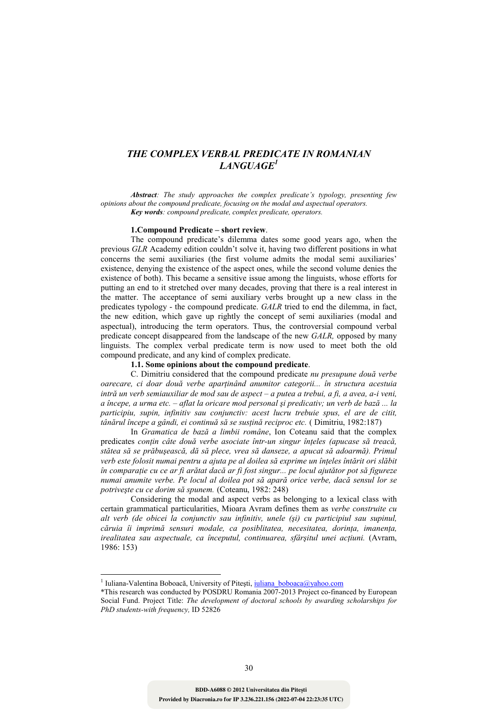# *THE COMPLEX VERBAL PREDICATE IN ROMANIAN LANGUAGE<sup>1</sup>*

*Abstract: The study approaches the complex predicate's typology, presenting few opinions about the compound predicate, focusing on the modal and aspectual operators. Key words: compound predicate, complex predicate, operators.*

### **1.Compound Predicate – short review**.

The compound predicate's dilemma dates some good years ago, when the previous *GLR* Academy edition couldn't solve it, having two different positions in what concerns the semi auxiliaries (the first volume admits the modal semi auxiliaries' existence, denying the existence of the aspect ones, while the second volume denies the existence of both). This became a sensitive issue among the linguists, whose efforts for putting an end to it stretched over many decades, proving that there is a real interest in the matter. The acceptance of semi auxiliary verbs brought up a new class in the predicates typology - the compound predicate. *GALR* tried to end the dilemma, in fact, the new edition, which gave up rightly the concept of semi auxiliaries (modal and aspectual), introducing the term operators. Thus, the controversial compound verbal predicate concept disappeared from the landscape of the new *GALR,* opposed by many linguists. The complex verbal predicate term is now used to meet both the old compound predicate, and any kind of complex predicate.

# **1.1. Some opinions about the compound predicate**.

C. Dimitriu considered that the compound predicate *nu presupune două verbe*  oarecare, ci doar două verbe aparținând anumitor categorii... în structura acestuia *intră un verb semiauxiliar de mod sau de aspect – a putea a trebui, a fi, a avea, a-i veni, a începe, a urma etc. – aflat la oricare mod personal şi predicativ; un verb de bază ... la participiu, supin, infinitiv sau conjunctiv: acest lucru trebuie spus, el are de citit, tânărul începe a gândi, ei continuă să se susțină reciproc etc.* ( Dimitriu, 1982:187)

In *Gramatica de bază a limbii române*, Ion Coteanu said that the complex predicates *conțin câte două verbe asociate într-un singur înțeles (apucase să treacă, stătea să se prăbuşească, dă să plece, vrea să danseze, a apucat să adoarmă). Primul*  verb este folosit numai pentru a ajuta pe al doilea să exprime un înteles întărit ori slăbit în comparație cu ce ar fi arătat dacă ar fi fost singur... pe locul ajutător pot să figureze *numai anumite verbe. Pe locul al doilea pot să apară orice verbe, dacă sensul lor se potriveşte cu ce dorim să spunem.* (Coteanu, 1982: 248)

Considering the modal and aspect verbs as belonging to a lexical class with certain grammatical particularities, Mioara Avram defines them as *verbe construite cu alt verb (de obicei la conjunctiv sau infinitiv, unele (şi) cu participiul sau supinul,*   $c\breve{a}$ ruia îi imprimă sensuri modale, ca posiblitatea, necesitatea, dorința, imanența, irealitatea sau aspectuale, ca începutul, continuarea, sfârșitul unei acțiuni. (Avram, 1986: 153)

 $\overline{a}$ 

<sup>1</sup> Iuliana-Valentina Boboacă, University of Pitești, iuliana boboaca@yahoo.com

<sup>\*</sup>This research was conducted by POSDRU Romania 2007-2013 Project co-financed by European Social Fund. Project Title: *The development of doctoral schools by awarding scholarships for PhD students-with frequency,* ID 52826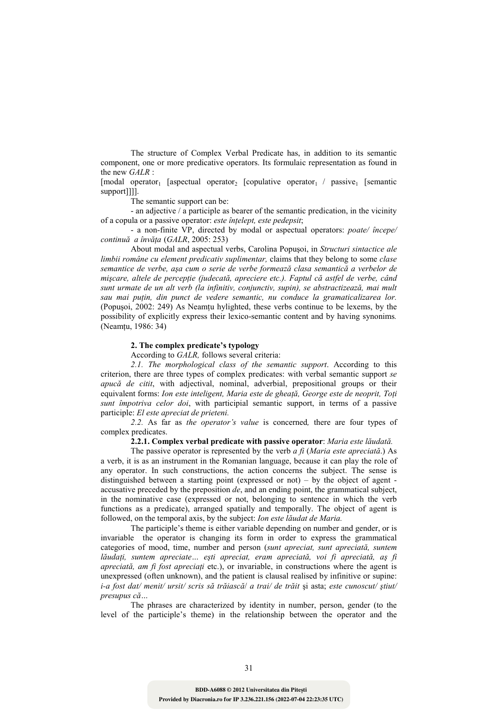The structure of Complex Verbal Predicate has, in addition to its semantic component, one or more predicative operators. Its formulaic representation as found in the new *GALR* :

 $[modal operator,$  [aspectual operator<sub>2</sub> [copulative operator<sub>1</sub> / passive<sub>1</sub> [semantic] support]]]].

The semantic support can be:

- an adjective / a participle as bearer of the semantic predication, in the vicinity of a copula or a passive operator: *este înțelept, este pedepsit*;

- a non-finite VP, directed by modal or aspectual operators: *poate/ începe/ continuă a învăța* (*GALR*, 2005: 253)

About modal and aspectual verbs, Carolina Popuşoi, in *Structuri sintactice ale limbii române cu element predicativ suplimentar,* claims that they belong to some *clase semantice de verbe, aşa cum o serie de verbe formează clasa semantică a verbelor de*  mișcare, altele de percepție (judecată, apreciere etc.). Faptul că astfel de verbe, când *sunt urmate de un alt verb (la infinitiv, conjunctiv, supin), se abstractizează, mai mult*  sau mai puțin, din punct de vedere semantic, nu conduce la gramaticalizarea lor. (Popuşoi, 2002: 249) As Neamțu hylighted, these verbs continue to be lexems, by the possibility of explicitly express their lexico-semantic content and by having synonims*.*  (Neamțu, 1986: 34)

### **2. The complex predicate's typology**

According to *GALR,* follows several criteria:

*2.1. The morphological class of the semantic support*. According to this criterion, there are three types of complex predicates: with verbal semantic support *se apucă de citit*, with adjectival, nominal, adverbial, prepositional groups or their equivalent forms: *Ion este inteligent, Maria este de gheată, George este de neoprit, Toti sunt împotriva celor doi*, with participial semantic support, in terms of a passive participle: *El este apreciat de prieteni.*

*2.2.* As far as *the operator's value* is concerned*,* there are four types of complex predicates.

### **2.2.1. Complex verbal predicate with passive operator**: *Maria este lăudată.*

The passive operator is represented by the verb *a fi* (*Maria este apreciată*.) As a verb, it is as an instrument in the Romanian language, because it can play the role of any operator. In such constructions, the action concerns the subject. The sense is distinguished between a starting point (expressed or not) – by the object of agent accusative preceded by the preposition *de*, and an ending point, the grammatical subject, in the nominative case (expressed or not, belonging to sentence in which the verb functions as a predicate), arranged spatially and temporally. The object of agent is followed, on the temporal axis, by the subject: *Ion este lăudat de Maria.*

The participle's theme is either variable depending on number and gender, or is invariable the operator is changing its form in order to express the grammatical categories of mood, time, number and person (*sunt apreciat, sunt apreciată, suntem*  lăudați, suntem apreciate... ești apreciat, eram apreciată, voi fi apreciată, aș fi *apreciată, am fi fost apreciați* etc.), or invariable, in constructions where the agent is unexpressed (often unknown), and the patient is clausal realised by infinitive or supine: *i-a fost dat/ menit/ ursit/ scris să trăiască*/ *a trai/ de trăit* şi asta; *este cunoscut/ ştiut/ presupus că…*

The phrases are characterized by identity in number, person, gender (to the level of the participle's theme) in the relationship between the operator and the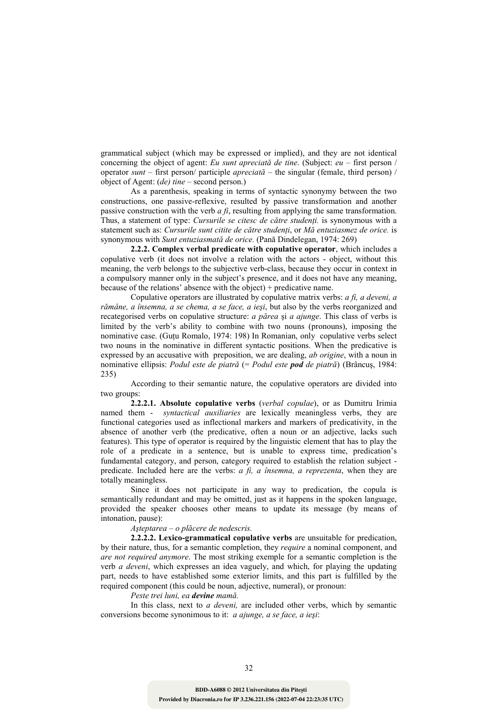grammatical subject (which may be expressed or implied), and they are not identical concerning the object of agent: *Eu sunt apreciată de tine*. (Subject: *eu* – first person / operator *sunt* – first person/ participle *apreciată* – the singular (female, third person) / object of Agent: (*de) tine* – second person.)

As a parenthesis, speaking in terms of syntactic synonymy between the two constructions, one passive-reflexive, resulted by passive transformation and another passive construction with the verb *a fi*, resulting from applying the same transformation. Thus, a statement of type: *Cursurile se citesc de către studenți*. is synonymous with a statement such as: *Cursurile sunt citite de către studenți*, or *Mă entuziasmez de orice*. is synonymous with *Sunt entuziasmată de orice.* (Pană Dindelegan, 1974: 269)

**2.2.2. Complex verbal predicate with copulative operator**, which includes a copulative verb (it does not involve a relation with the actors - object, without this meaning, the verb belongs to the subjective verb-class, because they occur in context in a compulsory manner only in the subject's presence, and it does not have any meaning, because of the relations' absence with the object) + predicative name.

Copulative operators are illustrated by copulative matrix verbs: *a fi, a deveni, a rămâne, a însemna, a se chema, a se face, a ieşi*, but also by the verbs reorganized and recategorised verbs on copulative structure: *a părea* şi *a ajunge*. This class of verbs is limited by the verb's ability to combine with two nouns (pronouns), imposing the nominative case. (Guțu Romalo, 1974: 198) In Romanian, only copulative verbs select two nouns in the nominative in different syntactic positions. When the predicative is expressed by an accusative with preposition, we are dealing, *ab origine*, with a noun in nominative ellipsis: *Podul este de piatră* (= *Podul este pod de piatră*) (Brâncuş, 1984: 235)

According to their semantic nature, the copulative operators are divided into two groups:

**2.2.2.1. Absolute copulative verbs** (*verbal copulae*), or as Dumitru Irimia named them - *syntactical auxiliaries* are lexically meaningless verbs, they are functional categories used as inflectional markers and markers of predicativity, in the absence of another verb (the predicative, often a noun or an adjective, lacks such features). This type of operator is required by the linguistic element that has to play the role of a predicate in a sentence, but is unable to express time, predication's fundamental category, and person, category required to establish the relation subject predicate. Included here are the verbs: *a fi, a însemna, a reprezenta*, when they are totally meaningless.

Since it does not participate in any way to predication, the copula is semantically redundant and may be omitted, just as it happens in the spoken language, provided the speaker chooses other means to update its message (by means of intonation, pause):

# *Aşteptarea – o plăcere de nedescris.*

**2.2.2.2. Lexico-grammatical copulative verbs** are unsuitable for predication, by their nature, thus, for a semantic completion, they *require* a nominal component, and *are not required anymore*. The most striking exemple for a semantic completion is the verb *a deveni*, which expresses an idea vaguely, and which, for playing the updating part, needs to have established some exterior limits, and this part is fulfilled by the required component (this could be noun, adjective, numeral), or pronoun:

*Peste trei luni, ea devine mamă.*

In this class, next to *a deveni,* are included other verbs, which by semantic conversions become synonimous to it: *a ajunge, a se face, a ieşi*: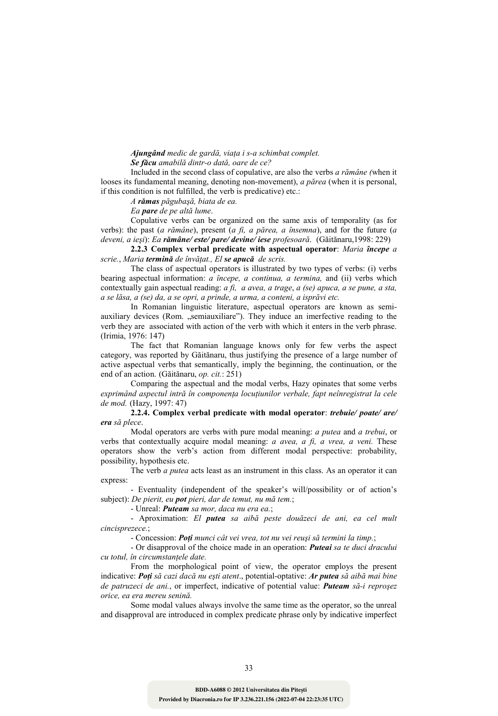### *Ajungând medic de gardă, viața i s-a schimbat complet. Se făcu amabilă dintr-o dată, oare de ce?*

Included in the second class of copulative, are also the verbs *a rămâne (*when it looses its fundamental meaning, denoting non-movement), *a părea* (when it is personal, if this condition is not fulfilled, the verb is predicative) etc.:

*A rămas păgubaşă, biata de ea.* 

*Ea pare de pe altă lume*.

Copulative verbs can be organized on the same axis of temporality (as for verbs): the past (*a rămâne*), present (*a fi, a părea, a însemna*), and for the future (*a deveni, a ieşi*): *Ea rămâne/ este/ pare/ devine/ iese profesoară*. (Găitănaru,1998: 229)

**2.2.3 Complex verbal predicate with aspectual operator**: *Maria începe a scrie., Maria termină de învățat., El se apucă de scris.* 

The class of aspectual operators is illustrated by two types of verbs: (i) verbs bearing aspectual information: *a începe, a continua, a termina,* and (ii) verbs which contextually gain aspectual reading: *a fi, a avea, a trage*, *a (se) apuca, a se pune, a sta, a se lăsa, a (se) da, a se opri, a prinde, a urma, a conteni, a isprăvi etc.*

In Romanian linguistic literature, aspectual operators are known as semiauxiliary devices (Rom. "semiauxiliare"). They induce an imerfective reading to the verb they are associated with action of the verb with which it enters in the verb phrase. (Irimia, 1976: 147)

The fact that Romanian language knows only for few verbs the aspect category, was reported by Găitănaru, thus justifying the presence of a large number of active aspectual verbs that semantically, imply the beginning, the continuation, or the end of an action. (Găitănaru, *op. cit.*: 251)

Comparing the aspectual and the modal verbs, Hazy opinates that some verbs exprimând aspectul intră în componența locuțiunilor verbale, fapt neînregistrat la cele *de mod.* (Hazy, 1997: 47)

**2.2.4. Complex verbal predicate with modal operator**: *trebuie/ poate/ are/ era să plece*.

Modal operators are verbs with pure modal meaning: *a putea* and *a trebui*, or verbs that contextually acquire modal meaning: *a avea, a fi, a vrea, a veni.* These operators show the verb's action from different modal perspective: probability, possibility, hypothesis etc.

The verb *a putea* acts least as an instrument in this class. As an operator it can express:

- Eventuality (independent of the speaker's will/possibility or of action's subject): *De pierit, eu pot pieri, dar de temut, nu mă tem.*;

- Unreal: *Puteam sa mor, daca nu era ea.*;

- Aproximation: *El putea sa aibă peste douăzeci de ani, ea cel mult cincisprezece.*;

- Concession: *Poți munci cât vei vrea, tot nu vei reuși să termini la timp.*;

- Or disapproval of the choice made in an operation: *Puteai sa te duci dracului*   $cu$  totul, în circumstanțele date.

From the morphological point of view, the operator employs the present indicative: Poți să cazi dacă nu ești atent., potential-optative: Ar putea să aibă mai bine *de patruzeci de ani.*, or imperfect, indicative of potential value: *Puteam să-i reproşez orice, ea era mereu senină.*

Some modal values always involve the same time as the operator, so the unreal and disapproval are introduced in complex predicate phrase only by indicative imperfect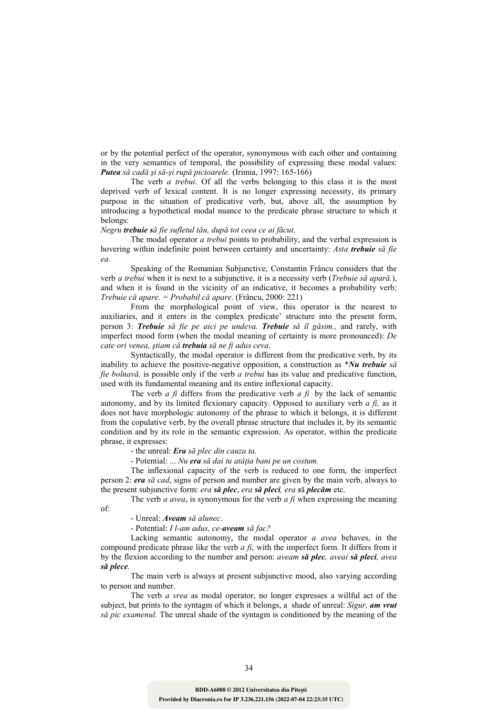or by the potential perfect of the operator, synonymous with each other and containing in the very semantics of temporal, the possibility of expressing these modal values: *Putea să cadă şi să-şi rupă picioarele.* (Irimia, 1997: 165-166)

The verb *a trebui*. Of all the verbs belonging to this class it is the most deprived verb of lexical content. It is no longer expressing necessity, its primary purpose in the situation of predicative verb, but, above all, the assumption by introducing a hypothetical modal nuance to the predicate phrase structure to which it belongs:

### *Negru trebuie să fie sufletul tău, după tot ceea ce ai făcut*.

The modal operator *a trebui* points to probability, and the verbal expression is hovering within indefinite point between certainty and uncertainty: *Asta trebuie să fie ea.*

Speaking of the Romanian Subjunctive, Constantin Frâncu considers that the verb *a trebui* when it is next to a subjunctive, it is a necessity verb (*Trebuie să apară.*), and when it is found in the vicinity of an indicative, it becomes a probability verb: *Trebuie că apare. = Probabil că apare.* (Frâncu, 2000: 221)

From the morphological point of view, this operator is the nearest to auxiliaries, and it enters in the complex predicate' structure into the present form, person 3: *Trebuie să fie pe aici pe undeva. Trebuie să îl găsim.,* and rarely, with imperfect mood form (when the modal meaning of certainty is more pronounced): *De cate ori venea, ştiam că trebuia să ne fi adus ceva*.

Syntactically, the modal operator is different from the predicative verb, by its inability to achieve the positive-negative opposition, a construction as \**Nu trebuie să fie bolnavă.* is possible only if the verb *a trebui* has its value and predicative function, used with its fundamental meaning and its entire inflexional capacity.

The verb *a fi* differs from the predicative verb *a fi* by the lack of semantic autonomy, and by its limited flexionary capacity. Opposed to auxiliary verb *a fi,* as it does not have morphologic autonomy of the phrase to which it belongs, it is different from the copulative verb, by the overall phrase structure that includes it, by its semantic condition and by its role in the semantic expression. As operator, within the predicate phrase, it expresses:

- the unreal: *Era să plec din cauza ta.* 

- Potential: ... *Nu era* să dai tu atâtia bani pe un costum.

The inflexional capacity of the verb is reduced to one form, the imperfect person 2: *era să cad*, signs of person and number are given by the main verb, always to the present subjunctive form: *era să plec*, *era să pleci, era s*ă *plecăm* etc.

The verb *a avea*, is synonymous for the verb *a fi* when expressing the meaning

of:

- Unreal: *Aveam să alunec*.

- Potential: *I l-am adus, ce-aveam să fac?* 

Lacking semantic autonomy, the modal operator *a avea* behaves, in the compound predicate phrase like the verb *a fi*, with the imperfect form. It differs from it by the flexion according to the number and person: *aveam să plec, aveai să pleci, avea să plece.* 

The main verb is always at present subjunctive mood, also varying according to person and number.

The verb *a vrea* as modal operator, no longer expresses a willful act of the subject, but prints to the syntagm of which it belongs, a shade of unreal: *Sigur, am vrut să pic examenul.* The unreal shade of the syntagm is conditioned by the meaning of the